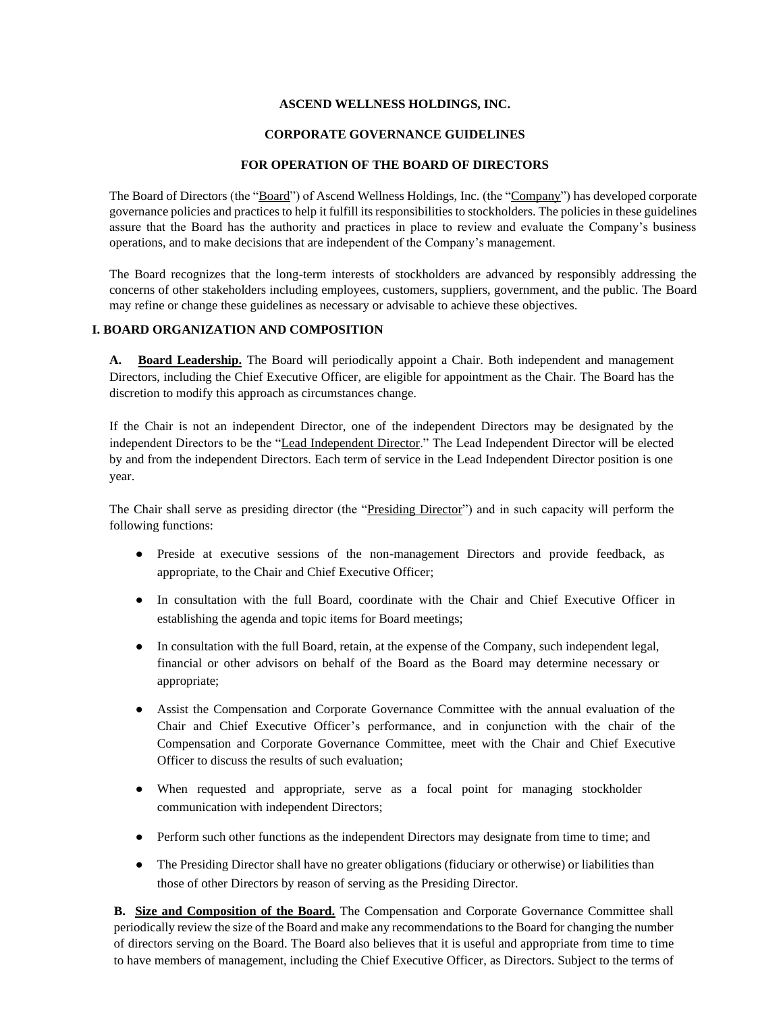## **ASCEND WELLNESS HOLDINGS, INC.**

#### **CORPORATE GOVERNANCE GUIDELINES**

#### **FOR OPERATION OF THE BOARD OF DIRECTORS**

The Board of Directors (the "Board") of Ascend Wellness Holdings, Inc. (the "Company") has developed corporate governance policies and practices to help it fulfill its responsibilities to stockholders. The policies in these guidelines assure that the Board has the authority and practices in place to review and evaluate the Company's business operations, and to make decisions that are independent of the Company's management.

The Board recognizes that the long-term interests of stockholders are advanced by responsibly addressing the concerns of other stakeholders including employees, customers, suppliers, government, and the public. The Board may refine or change these guidelines as necessary or advisable to achieve these objectives.

## **I. BOARD ORGANIZATION AND COMPOSITION**

**A. Board Leadership.** The Board will periodically appoint a Chair. Both independent and management Directors, including the Chief Executive Officer, are eligible for appointment as the Chair. The Board has the discretion to modify this approach as circumstances change.

If the Chair is not an independent Director, one of the independent Directors may be designated by the independent Directors to be the "Lead Independent Director." The Lead Independent Director will be elected by and from the independent Directors. Each term of service in the Lead Independent Director position is one year.

The Chair shall serve as presiding director (the "Presiding Director") and in such capacity will perform the following functions:

- Preside at executive sessions of the non-management Directors and provide feedback, as appropriate, to the Chair and Chief Executive Officer;
- In consultation with the full Board, coordinate with the Chair and Chief Executive Officer in establishing the agenda and topic items for Board meetings;
- In consultation with the full Board, retain, at the expense of the Company, such independent legal, financial or other advisors on behalf of the Board as the Board may determine necessary or appropriate;
- Assist the Compensation and Corporate Governance Committee with the annual evaluation of the Chair and Chief Executive Officer's performance, and in conjunction with the chair of the Compensation and Corporate Governance Committee, meet with the Chair and Chief Executive Officer to discuss the results of such evaluation;
- When requested and appropriate, serve as a focal point for managing stockholder communication with independent Directors;
- Perform such other functions as the independent Directors may designate from time to time; and
- The Presiding Director shall have no greater obligations (fiduciary or otherwise) or liabilities than those of other Directors by reason of serving as the Presiding Director.

**B. Size and Composition of the Board.** The Compensation and Corporate Governance Committee shall periodically review the size of the Board and make any recommendations to the Board for changing the number of directors serving on the Board. The Board also believes that it is useful and appropriate from time to time to have members of management, including the Chief Executive Officer, as Directors. Subject to the terms of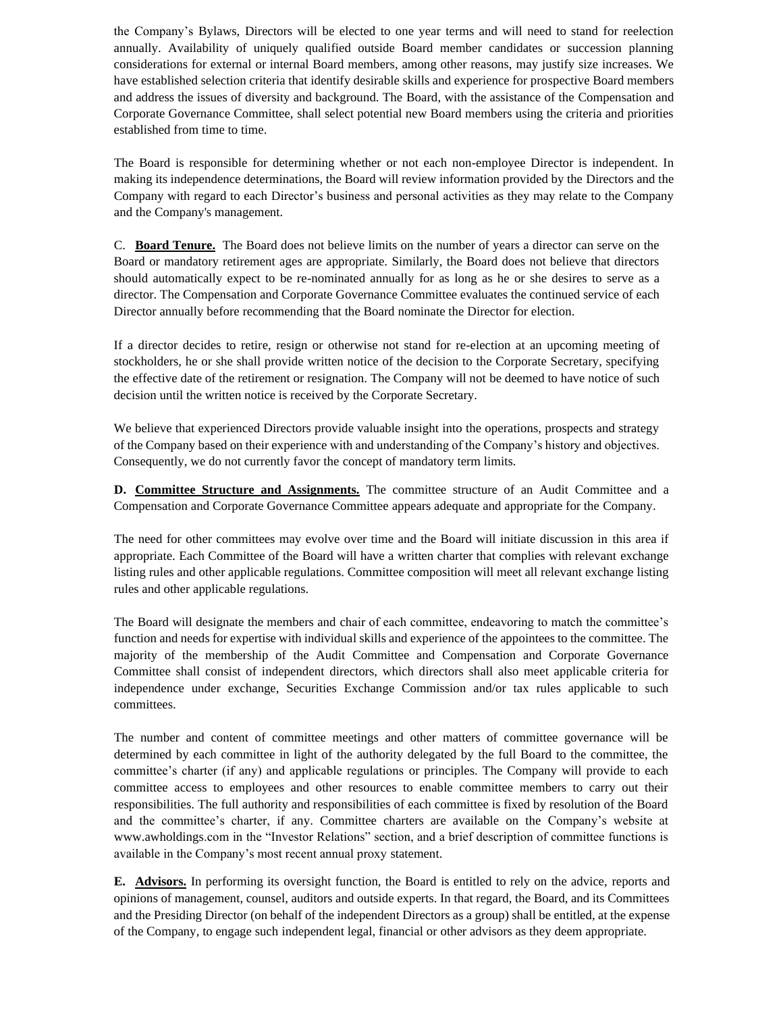the Company's Bylaws, Directors will be elected to one year terms and will need to stand for reelection annually. Availability of uniquely qualified outside Board member candidates or succession planning considerations for external or internal Board members, among other reasons, may justify size increases. We have established selection criteria that identify desirable skills and experience for prospective Board members and address the issues of diversity and background. The Board, with the assistance of the Compensation and Corporate Governance Committee, shall select potential new Board members using the criteria and priorities established from time to time.

The Board is responsible for determining whether or not each non-employee Director is independent. In making its independence determinations, the Board will review information provided by the Directors and the Company with regard to each Director's business and personal activities as they may relate to the Company and the Company's management.

C. **Board Tenure.** The Board does not believe limits on the number of years a director can serve on the Board or mandatory retirement ages are appropriate. Similarly, the Board does not believe that directors should automatically expect to be re-nominated annually for as long as he or she desires to serve as a director. The Compensation and Corporate Governance Committee evaluates the continued service of each Director annually before recommending that the Board nominate the Director for election.

If a director decides to retire, resign or otherwise not stand for re-election at an upcoming meeting of stockholders, he or she shall provide written notice of the decision to the Corporate Secretary, specifying the effective date of the retirement or resignation. The Company will not be deemed to have notice of such decision until the written notice is received by the Corporate Secretary.

We believe that experienced Directors provide valuable insight into the operations, prospects and strategy of the Company based on their experience with and understanding of the Company's history and objectives. Consequently, we do not currently favor the concept of mandatory term limits.

**D. Committee Structure and Assignments.** The committee structure of an Audit Committee and a Compensation and Corporate Governance Committee appears adequate and appropriate for the Company.

The need for other committees may evolve over time and the Board will initiate discussion in this area if appropriate. Each Committee of the Board will have a written charter that complies with relevant exchange listing rules and other applicable regulations. Committee composition will meet all relevant exchange listing rules and other applicable regulations.

The Board will designate the members and chair of each committee, endeavoring to match the committee's function and needs for expertise with individual skills and experience of the appointees to the committee. The majority of the membership of the Audit Committee and Compensation and Corporate Governance Committee shall consist of independent directors, which directors shall also meet applicable criteria for independence under exchange, Securities Exchange Commission and/or tax rules applicable to such committees.

The number and content of committee meetings and other matters of committee governance will be determined by each committee in light of the authority delegated by the full Board to the committee, the committee's charter (if any) and applicable regulations or principles. The Company will provide to each committee access to employees and other resources to enable committee members to carry out their responsibilities. The full authority and responsibilities of each committee is fixed by resolution of the Board and the committee's charter, if any. Committee charters are available on the Company's website at www.awholdings.com in the "Investor Relations" section, and a brief description of committee functions is available in the Company's most recent annual proxy statement.

**E. Advisors.** In performing its oversight function, the Board is entitled to rely on the advice, reports and opinions of management, counsel, auditors and outside experts. In that regard, the Board, and its Committees and the Presiding Director (on behalf of the independent Directors as a group) shall be entitled, at the expense of the Company, to engage such independent legal, financial or other advisors as they deem appropriate.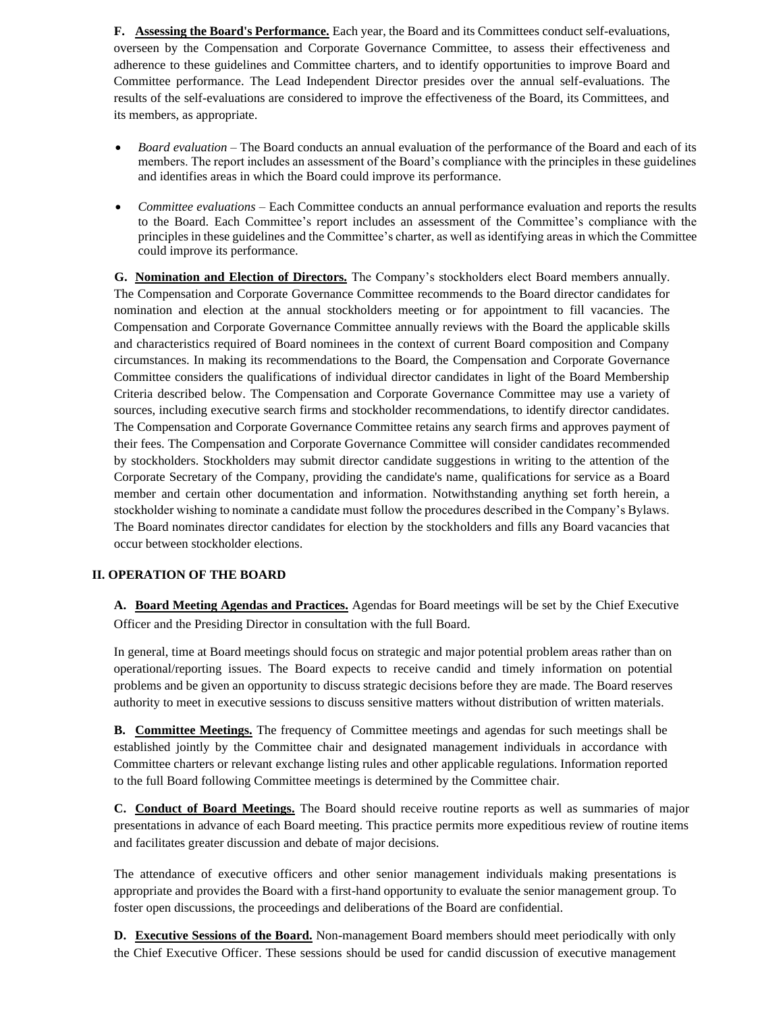**F. Assessing the Board's Performance.** Each year, the Board and its Committees conduct self-evaluations, overseen by the Compensation and Corporate Governance Committee, to assess their effectiveness and adherence to these guidelines and Committee charters, and to identify opportunities to improve Board and Committee performance. The Lead Independent Director presides over the annual self-evaluations. The results of the self-evaluations are considered to improve the effectiveness of the Board, its Committees, and its members, as appropriate.

- *Board evaluation* The Board conducts an annual evaluation of the performance of the Board and each of its members. The report includes an assessment of the Board's compliance with the principles in these guidelines and identifies areas in which the Board could improve its performance.
- *Committee evaluations* Each Committee conducts an annual performance evaluation and reports the results to the Board. Each Committee's report includes an assessment of the Committee's compliance with the principles in these guidelines and the Committee's charter, as well as identifying areas in which the Committee could improve its performance.

**G. Nomination and Election of Directors.** The Company's stockholders elect Board members annually. The Compensation and Corporate Governance Committee recommends to the Board director candidates for nomination and election at the annual stockholders meeting or for appointment to fill vacancies. The Compensation and Corporate Governance Committee annually reviews with the Board the applicable skills and characteristics required of Board nominees in the context of current Board composition and Company circumstances. In making its recommendations to the Board, the Compensation and Corporate Governance Committee considers the qualifications of individual director candidates in light of the Board Membership Criteria described below. The Compensation and Corporate Governance Committee may use a variety of sources, including executive search firms and stockholder recommendations, to identify director candidates. The Compensation and Corporate Governance Committee retains any search firms and approves payment of their fees. The Compensation and Corporate Governance Committee will consider candidates recommended by stockholders. Stockholders may submit director candidate suggestions in writing to the attention of the Corporate Secretary of the Company, providing the candidate's name, qualifications for service as a Board member and certain other documentation and information. Notwithstanding anything set forth herein, a stockholder wishing to nominate a candidate must follow the procedures described in the Company's Bylaws. The Board nominates director candidates for election by the stockholders and fills any Board vacancies that occur between stockholder elections.

# **II. OPERATION OF THE BOARD**

**A. Board Meeting Agendas and Practices.** Agendas for Board meetings will be set by the Chief Executive Officer and the Presiding Director in consultation with the full Board.

In general, time at Board meetings should focus on strategic and major potential problem areas rather than on operational/reporting issues. The Board expects to receive candid and timely information on potential problems and be given an opportunity to discuss strategic decisions before they are made. The Board reserves authority to meet in executive sessions to discuss sensitive matters without distribution of written materials.

**B. Committee Meetings.** The frequency of Committee meetings and agendas for such meetings shall be established jointly by the Committee chair and designated management individuals in accordance with Committee charters or relevant exchange listing rules and other applicable regulations. Information reported to the full Board following Committee meetings is determined by the Committee chair.

**C. Conduct of Board Meetings.** The Board should receive routine reports as well as summaries of major presentations in advance of each Board meeting. This practice permits more expeditious review of routine items and facilitates greater discussion and debate of major decisions.

The attendance of executive officers and other senior management individuals making presentations is appropriate and provides the Board with a first-hand opportunity to evaluate the senior management group. To foster open discussions, the proceedings and deliberations of the Board are confidential.

**D. Executive Sessions of the Board.** Non-management Board members should meet periodically with only the Chief Executive Officer. These sessions should be used for candid discussion of executive management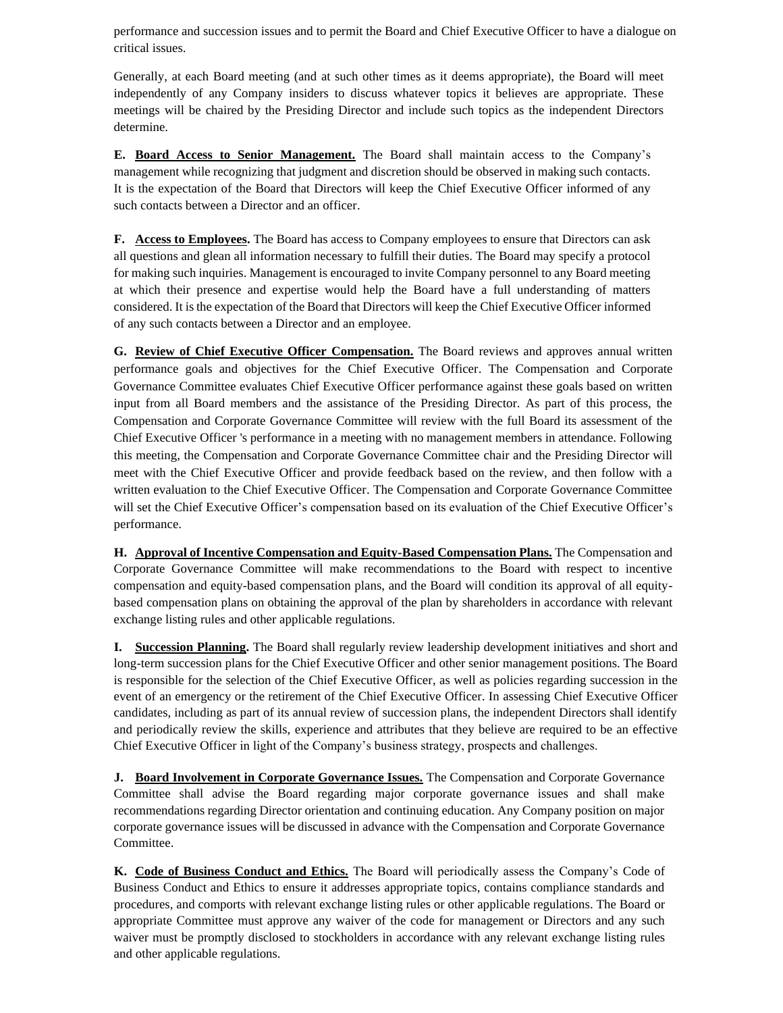performance and succession issues and to permit the Board and Chief Executive Officer to have a dialogue on critical issues.

Generally, at each Board meeting (and at such other times as it deems appropriate), the Board will meet independently of any Company insiders to discuss whatever topics it believes are appropriate. These meetings will be chaired by the Presiding Director and include such topics as the independent Directors determine.

**E. Board Access to Senior Management.** The Board shall maintain access to the Company's management while recognizing that judgment and discretion should be observed in making such contacts. It is the expectation of the Board that Directors will keep the Chief Executive Officer informed of any such contacts between a Director and an officer.

**F. Access to Employees.** The Board has access to Company employees to ensure that Directors can ask all questions and glean all information necessary to fulfill their duties. The Board may specify a protocol for making such inquiries. Management is encouraged to invite Company personnel to any Board meeting at which their presence and expertise would help the Board have a full understanding of matters considered. It is the expectation of the Board that Directors will keep the Chief Executive Officer informed of any such contacts between a Director and an employee.

**G. Review of Chief Executive Officer Compensation.** The Board reviews and approves annual written performance goals and objectives for the Chief Executive Officer. The Compensation and Corporate Governance Committee evaluates Chief Executive Officer performance against these goals based on written input from all Board members and the assistance of the Presiding Director. As part of this process, the Compensation and Corporate Governance Committee will review with the full Board its assessment of the Chief Executive Officer 's performance in a meeting with no management members in attendance. Following this meeting, the Compensation and Corporate Governance Committee chair and the Presiding Director will meet with the Chief Executive Officer and provide feedback based on the review, and then follow with a written evaluation to the Chief Executive Officer. The Compensation and Corporate Governance Committee will set the Chief Executive Officer's compensation based on its evaluation of the Chief Executive Officer's performance.

**H. Approval of Incentive Compensation and Equity-Based Compensation Plans.** The Compensation and Corporate Governance Committee will make recommendations to the Board with respect to incentive compensation and equity-based compensation plans, and the Board will condition its approval of all equitybased compensation plans on obtaining the approval of the plan by shareholders in accordance with relevant exchange listing rules and other applicable regulations.

**I. Succession Planning.** The Board shall regularly review leadership development initiatives and short and long-term succession plans for the Chief Executive Officer and other senior management positions. The Board is responsible for the selection of the Chief Executive Officer, as well as policies regarding succession in the event of an emergency or the retirement of the Chief Executive Officer. In assessing Chief Executive Officer candidates, including as part of its annual review of succession plans, the independent Directors shall identify and periodically review the skills, experience and attributes that they believe are required to be an effective Chief Executive Officer in light of the Company's business strategy, prospects and challenges.

**J. Board Involvement in Corporate Governance Issues.** The Compensation and Corporate Governance Committee shall advise the Board regarding major corporate governance issues and shall make recommendations regarding Director orientation and continuing education. Any Company position on major corporate governance issues will be discussed in advance with the Compensation and Corporate Governance Committee.

**K. Code of Business Conduct and Ethics.** The Board will periodically assess the Company's Code of Business Conduct and Ethics to ensure it addresses appropriate topics, contains compliance standards and procedures, and comports with relevant exchange listing rules or other applicable regulations. The Board or appropriate Committee must approve any waiver of the code for management or Directors and any such waiver must be promptly disclosed to stockholders in accordance with any relevant exchange listing rules and other applicable regulations.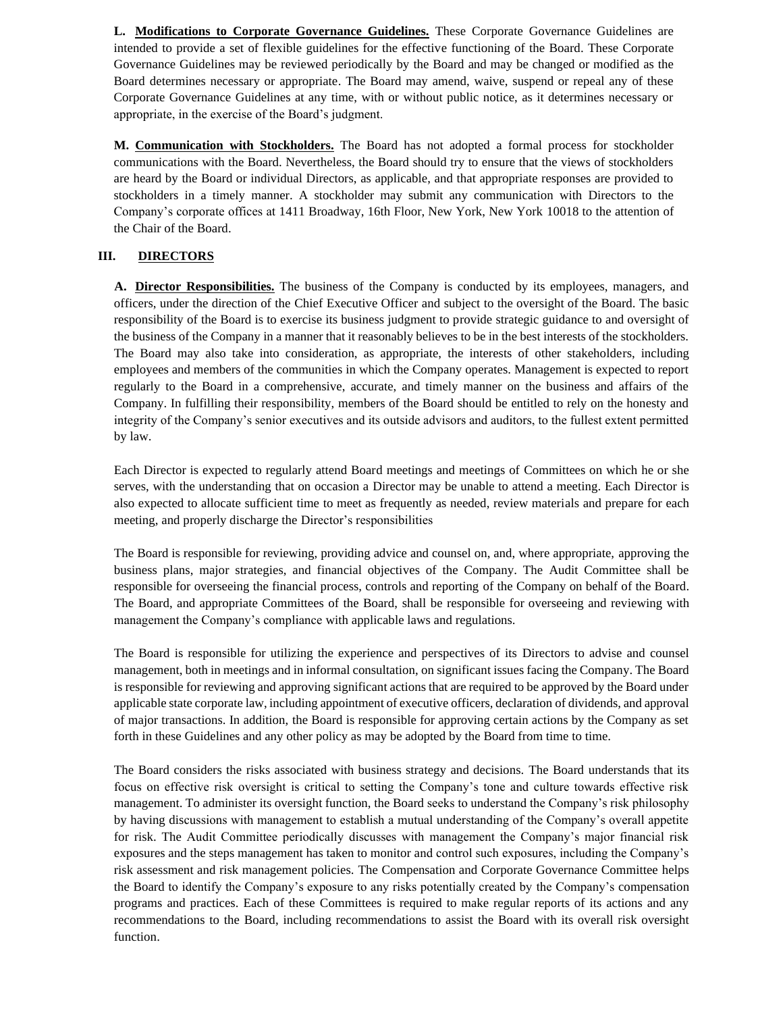**L. Modifications to Corporate Governance Guidelines.** These Corporate Governance Guidelines are intended to provide a set of flexible guidelines for the effective functioning of the Board. These Corporate Governance Guidelines may be reviewed periodically by the Board and may be changed or modified as the Board determines necessary or appropriate. The Board may amend, waive, suspend or repeal any of these Corporate Governance Guidelines at any time, with or without public notice, as it determines necessary or appropriate, in the exercise of the Board's judgment.

**M. Communication with Stockholders.** The Board has not adopted a formal process for stockholder communications with the Board. Nevertheless, the Board should try to ensure that the views of stockholders are heard by the Board or individual Directors, as applicable, and that appropriate responses are provided to stockholders in a timely manner. A stockholder may submit any communication with Directors to the Company's corporate offices at 1411 Broadway, 16th Floor, New York, New York 10018 to the attention of the Chair of the Board.

# **III. DIRECTORS**

**A. Director Responsibilities.** The business of the Company is conducted by its employees, managers, and officers, under the direction of the Chief Executive Officer and subject to the oversight of the Board. The basic responsibility of the Board is to exercise its business judgment to provide strategic guidance to and oversight of the business of the Company in a manner that it reasonably believes to be in the best interests of the stockholders. The Board may also take into consideration, as appropriate, the interests of other stakeholders, including employees and members of the communities in which the Company operates. Management is expected to report regularly to the Board in a comprehensive, accurate, and timely manner on the business and affairs of the Company. In fulfilling their responsibility, members of the Board should be entitled to rely on the honesty and integrity of the Company's senior executives and its outside advisors and auditors, to the fullest extent permitted by law.

Each Director is expected to regularly attend Board meetings and meetings of Committees on which he or she serves, with the understanding that on occasion a Director may be unable to attend a meeting. Each Director is also expected to allocate sufficient time to meet as frequently as needed, review materials and prepare for each meeting, and properly discharge the Director's responsibilities

The Board is responsible for reviewing, providing advice and counsel on, and, where appropriate, approving the business plans, major strategies, and financial objectives of the Company. The Audit Committee shall be responsible for overseeing the financial process, controls and reporting of the Company on behalf of the Board. The Board, and appropriate Committees of the Board, shall be responsible for overseeing and reviewing with management the Company's compliance with applicable laws and regulations.

The Board is responsible for utilizing the experience and perspectives of its Directors to advise and counsel management, both in meetings and in informal consultation, on significant issues facing the Company. The Board is responsible for reviewing and approving significant actions that are required to be approved by the Board under applicable state corporate law, including appointment of executive officers, declaration of dividends, and approval of major transactions. In addition, the Board is responsible for approving certain actions by the Company as set forth in these Guidelines and any other policy as may be adopted by the Board from time to time.

The Board considers the risks associated with business strategy and decisions. The Board understands that its focus on effective risk oversight is critical to setting the Company's tone and culture towards effective risk management. To administer its oversight function, the Board seeks to understand the Company's risk philosophy by having discussions with management to establish a mutual understanding of the Company's overall appetite for risk. The Audit Committee periodically discusses with management the Company's major financial risk exposures and the steps management has taken to monitor and control such exposures, including the Company's risk assessment and risk management policies. The Compensation and Corporate Governance Committee helps the Board to identify the Company's exposure to any risks potentially created by the Company's compensation programs and practices. Each of these Committees is required to make regular reports of its actions and any recommendations to the Board, including recommendations to assist the Board with its overall risk oversight function.